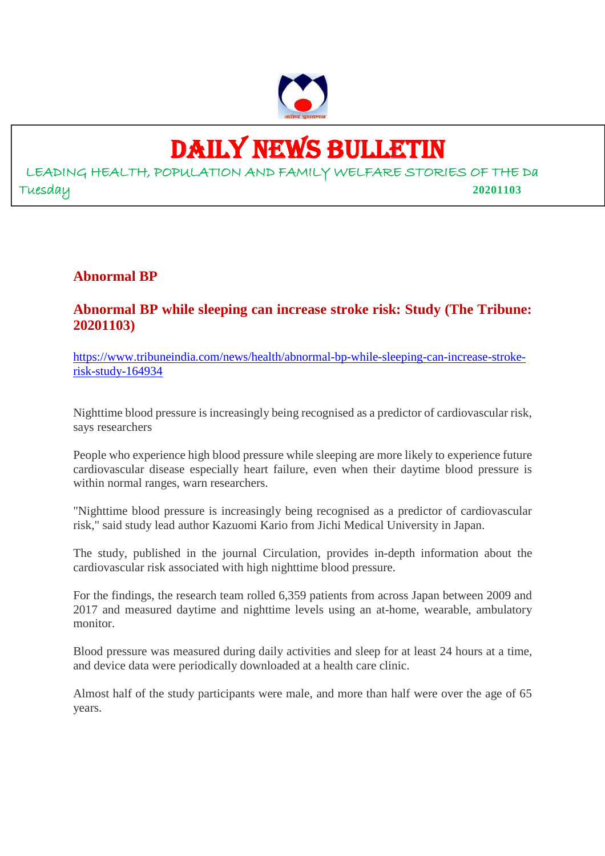

## DAILY NEWS BULLETIN

LEADING HEALTH, POPULATION AND FAMILY WELFARE STORIES OF THE Da Tuesday **20201103**

## **Abnormal BP**

**Abnormal BP while sleeping can increase stroke risk: Study (The Tribune: 20201103)**

https://www.tribuneindia.com/news/health/abnormal-bp-while-sleeping-can-increase-strokerisk-study-164934

Nighttime blood pressure is increasingly being recognised as a predictor of cardiovascular risk, says researchers

People who experience high blood pressure while sleeping are more likely to experience future cardiovascular disease especially heart failure, even when their daytime blood pressure is within normal ranges, warn researchers.

"Nighttime blood pressure is increasingly being recognised as a predictor of cardiovascular risk," said study lead author Kazuomi Kario from Jichi Medical University in Japan.

The study, published in the journal Circulation, provides in-depth information about the cardiovascular risk associated with high nighttime blood pressure.

For the findings, the research team rolled 6,359 patients from across Japan between 2009 and 2017 and measured daytime and nighttime levels using an at-home, wearable, ambulatory monitor.

Blood pressure was measured during daily activities and sleep for at least 24 hours at a time, and device data were periodically downloaded at a health care clinic.

Almost half of the study participants were male, and more than half were over the age of 65 years.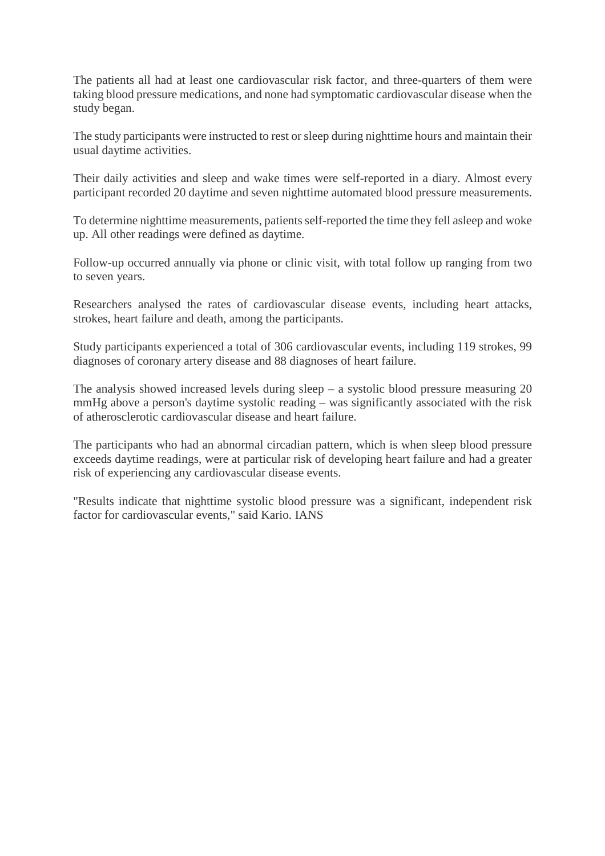The patients all had at least one cardiovascular risk factor, and three-quarters of them were taking blood pressure medications, and none had symptomatic cardiovascular disease when the study began.

The study participants were instructed to rest or sleep during nighttime hours and maintain their usual daytime activities.

Their daily activities and sleep and wake times were self-reported in a diary. Almost every participant recorded 20 daytime and seven nighttime automated blood pressure measurements.

To determine nighttime measurements, patients self-reported the time they fell asleep and woke up. All other readings were defined as daytime.

Follow-up occurred annually via phone or clinic visit, with total follow up ranging from two to seven years.

Researchers analysed the rates of cardiovascular disease events, including heart attacks, strokes, heart failure and death, among the participants.

Study participants experienced a total of 306 cardiovascular events, including 119 strokes, 99 diagnoses of coronary artery disease and 88 diagnoses of heart failure.

The analysis showed increased levels during sleep – a systolic blood pressure measuring 20 mmHg above a person's daytime systolic reading – was significantly associated with the risk of atherosclerotic cardiovascular disease and heart failure.

The participants who had an abnormal circadian pattern, which is when sleep blood pressure exceeds daytime readings, were at particular risk of developing heart failure and had a greater risk of experiencing any cardiovascular disease events.

"Results indicate that nighttime systolic blood pressure was a significant, independent risk factor for cardiovascular events," said Kario. IANS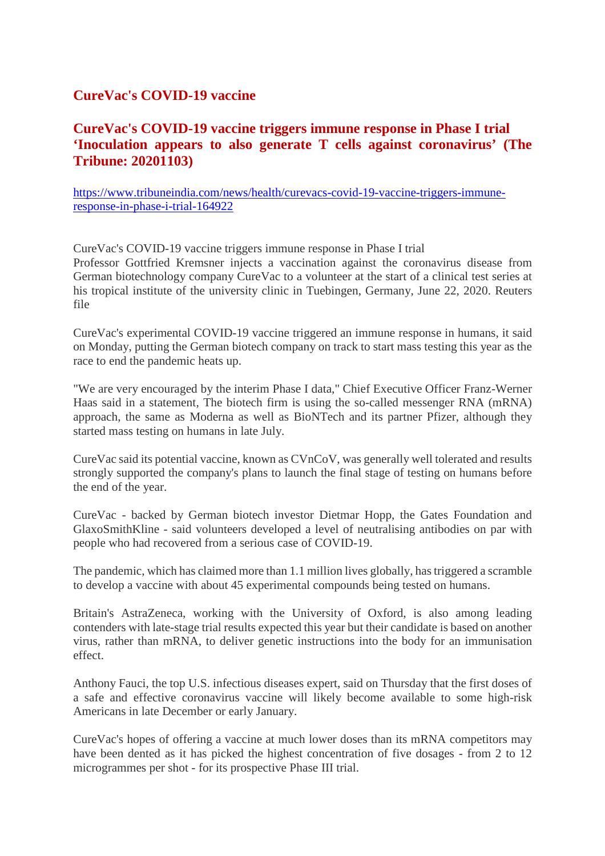## **CureVac's COVID-19 vaccine**

## **CureVac's COVID-19 vaccine triggers immune response in Phase I trial 'Inoculation appears to also generate T cells against coronavirus' (The Tribune: 20201103)**

https://www.tribuneindia.com/news/health/curevacs-covid-19-vaccine-triggers-immuneresponse-in-phase-i-trial-164922

CureVac's COVID-19 vaccine triggers immune response in Phase I trial

Professor Gottfried Kremsner injects a vaccination against the coronavirus disease from German biotechnology company CureVac to a volunteer at the start of a clinical test series at his tropical institute of the university clinic in Tuebingen, Germany, June 22, 2020. Reuters file

CureVac's experimental COVID-19 vaccine triggered an immune response in humans, it said on Monday, putting the German biotech company on track to start mass testing this year as the race to end the pandemic heats up.

"We are very encouraged by the interim Phase I data," Chief Executive Officer Franz-Werner Haas said in a statement, The biotech firm is using the so-called messenger RNA (mRNA) approach, the same as Moderna as well as BioNTech and its partner Pfizer, although they started mass testing on humans in late July.

CureVac said its potential vaccine, known as CVnCoV, was generally well tolerated and results strongly supported the company's plans to launch the final stage of testing on humans before the end of the year.

CureVac - backed by German biotech investor Dietmar Hopp, the Gates Foundation and GlaxoSmithKline - said volunteers developed a level of neutralising antibodies on par with people who had recovered from a serious case of COVID-19.

The pandemic, which has claimed more than 1.1 million lives globally, has triggered a scramble to develop a vaccine with about 45 experimental compounds being tested on humans.

Britain's AstraZeneca, working with the University of Oxford, is also among leading contenders with late-stage trial results expected this year but their candidate is based on another virus, rather than mRNA, to deliver genetic instructions into the body for an immunisation effect.

Anthony Fauci, the top U.S. infectious diseases expert, said on Thursday that the first doses of a safe and effective coronavirus vaccine will likely become available to some high-risk Americans in late December or early January.

CureVac's hopes of offering a vaccine at much lower doses than its mRNA competitors may have been dented as it has picked the highest concentration of five dosages - from 2 to 12 microgrammes per shot - for its prospective Phase III trial.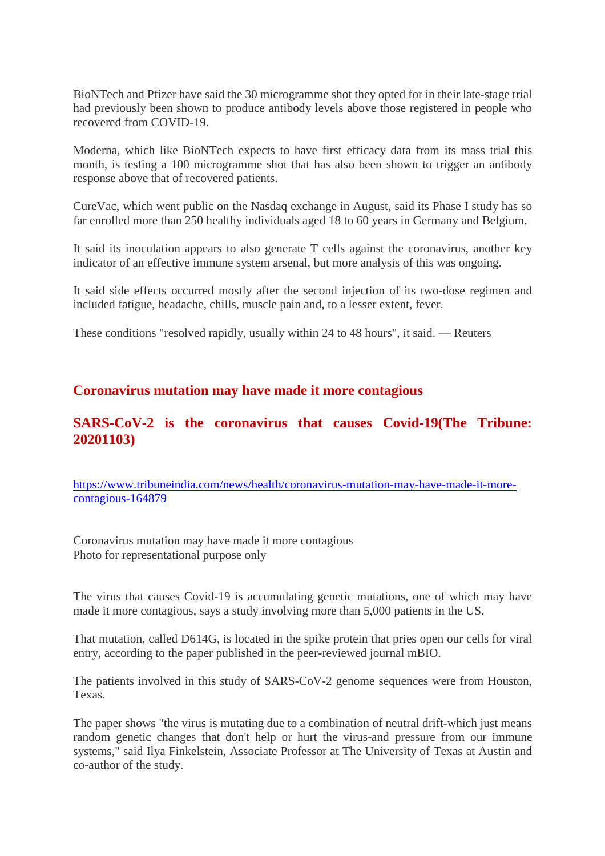BioNTech and Pfizer have said the 30 microgramme shot they opted for in their late-stage trial had previously been shown to produce antibody levels above those registered in people who recovered from COVID-19.

Moderna, which like BioNTech expects to have first efficacy data from its mass trial this month, is testing a 100 microgramme shot that has also been shown to trigger an antibody response above that of recovered patients.

CureVac, which went public on the Nasdaq exchange in August, said its Phase I study has so far enrolled more than 250 healthy individuals aged 18 to 60 years in Germany and Belgium.

It said its inoculation appears to also generate T cells against the coronavirus, another key indicator of an effective immune system arsenal, but more analysis of this was ongoing.

It said side effects occurred mostly after the second injection of its two-dose regimen and included fatigue, headache, chills, muscle pain and, to a lesser extent, fever.

These conditions "resolved rapidly, usually within 24 to 48 hours", it said. — Reuters

### **Coronavirus mutation may have made it more contagious**

## **SARS-CoV-2 is the coronavirus that causes Covid-19(The Tribune: 20201103)**

https://www.tribuneindia.com/news/health/coronavirus-mutation-may-have-made-it-morecontagious-164879

Coronavirus mutation may have made it more contagious Photo for representational purpose only

The virus that causes Covid-19 is accumulating genetic mutations, one of which may have made it more contagious, says a study involving more than 5,000 patients in the US.

That mutation, called D614G, is located in the spike protein that pries open our cells for viral entry, according to the paper published in the peer-reviewed journal mBIO.

The patients involved in this study of SARS-CoV-2 genome sequences were from Houston, Texas.

The paper shows "the virus is mutating due to a combination of neutral drift-which just means random genetic changes that don't help or hurt the virus-and pressure from our immune systems," said Ilya Finkelstein, Associate Professor at The University of Texas at Austin and co-author of the study.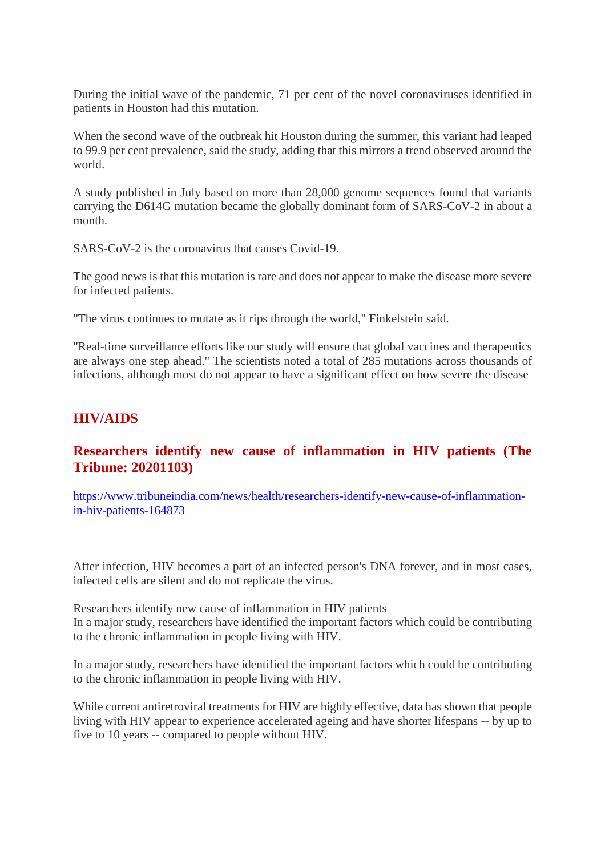During the initial wave of the pandemic, 71 per cent of the novel coronaviruses identified in patients in Houston had this mutation.

When the second wave of the outbreak hit Houston during the summer, this variant had leaped to 99.9 per cent prevalence, said the study, adding that this mirrors a trend observed around the world.

A study published in July based on more than 28,000 genome sequences found that variants carrying the D614G mutation became the globally dominant form of SARS-CoV-2 in about a month.

SARS-CoV-2 is the coronavirus that causes Covid-19.

The good news is that this mutation is rare and does not appear to make the disease more severe for infected patients.

"The virus continues to mutate as it rips through the world," Finkelstein said.

"Real-time surveillance efforts like our study will ensure that global vaccines and therapeutics are always one step ahead." The scientists noted a total of 285 mutations across thousands of infections, although most do not appear to have a significant effect on how severe the disease

## **HIV/AIDS**

## **Researchers identify new cause of inflammation in HIV patients (The Tribune: 20201103)**

https://www.tribuneindia.com/news/health/researchers-identify-new-cause-of-inflammationin-hiv-patients-164873

After infection, HIV becomes a part of an infected person's DNA forever, and in most cases, infected cells are silent and do not replicate the virus.

Researchers identify new cause of inflammation in HIV patients In a major study, researchers have identified the important factors which could be contributing to the chronic inflammation in people living with HIV.

In a major study, researchers have identified the important factors which could be contributing to the chronic inflammation in people living with HIV.

While current antiretroviral treatments for HIV are highly effective, data has shown that people living with HIV appear to experience accelerated ageing and have shorter lifespans -- by up to five to 10 years -- compared to people without HIV.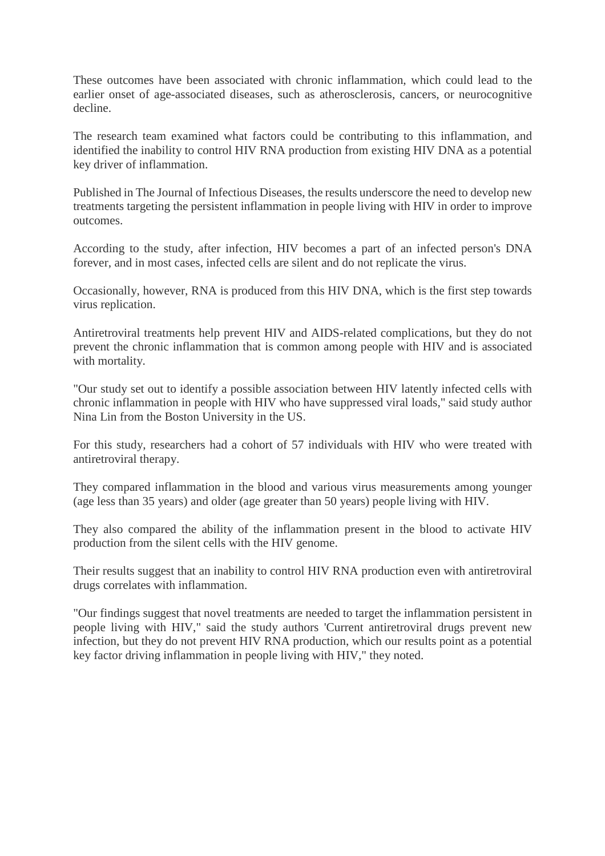These outcomes have been associated with chronic inflammation, which could lead to the earlier onset of age-associated diseases, such as atherosclerosis, cancers, or neurocognitive decline.

The research team examined what factors could be contributing to this inflammation, and identified the inability to control HIV RNA production from existing HIV DNA as a potential key driver of inflammation.

Published in The Journal of Infectious Diseases, the results underscore the need to develop new treatments targeting the persistent inflammation in people living with HIV in order to improve outcomes.

According to the study, after infection, HIV becomes a part of an infected person's DNA forever, and in most cases, infected cells are silent and do not replicate the virus.

Occasionally, however, RNA is produced from this HIV DNA, which is the first step towards virus replication.

Antiretroviral treatments help prevent HIV and AIDS-related complications, but they do not prevent the chronic inflammation that is common among people with HIV and is associated with mortality.

"Our study set out to identify a possible association between HIV latently infected cells with chronic inflammation in people with HIV who have suppressed viral loads," said study author Nina Lin from the Boston University in the US.

For this study, researchers had a cohort of 57 individuals with HIV who were treated with antiretroviral therapy.

They compared inflammation in the blood and various virus measurements among younger (age less than 35 years) and older (age greater than 50 years) people living with HIV.

They also compared the ability of the inflammation present in the blood to activate HIV production from the silent cells with the HIV genome.

Their results suggest that an inability to control HIV RNA production even with antiretroviral drugs correlates with inflammation.

"Our findings suggest that novel treatments are needed to target the inflammation persistent in people living with HIV," said the study authors 'Current antiretroviral drugs prevent new infection, but they do not prevent HIV RNA production, which our results point as a potential key factor driving inflammation in people living with HIV," they noted.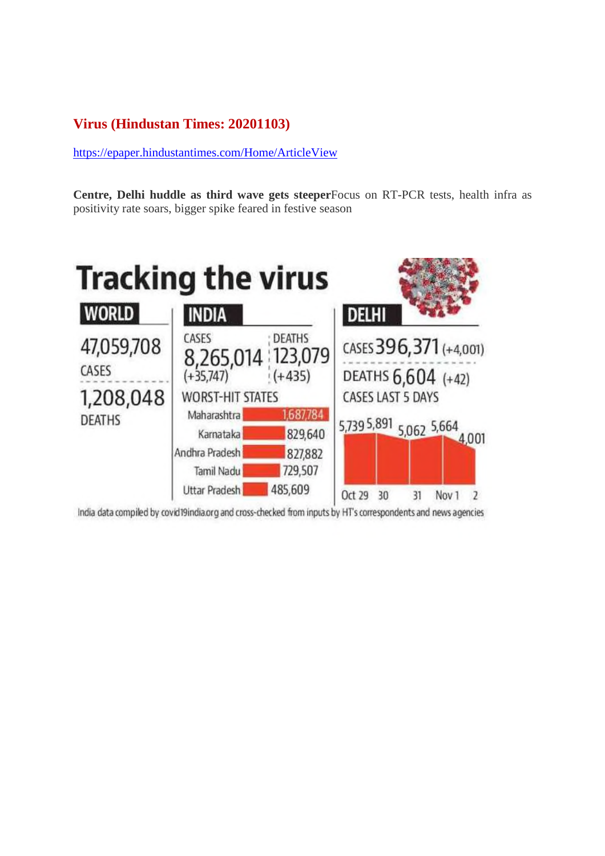## **Virus (Hindustan Times: 20201103)**

https://epaper.hindustantimes.com/Home/ArticleView

**Centre, Delhi huddle as third wave gets steeper**Focus on RT-PCR tests, health infra as positivity rate soars, bigger spike feared in festive season



India data compiled by covid19india.org and cross-checked from inputs by HT's correspondents and news agencies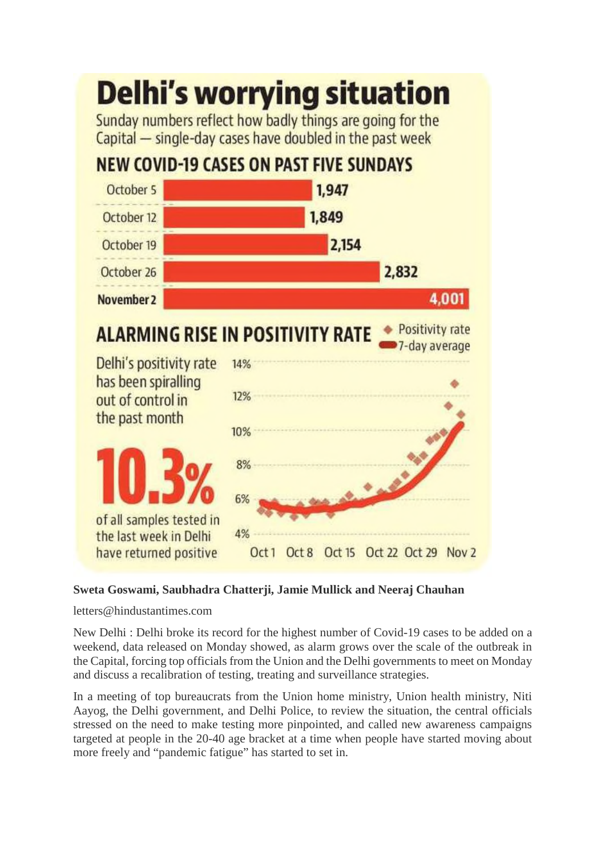# **Delhi's worrying situation**

Sunday numbers reflect how badly things are going for the Capital - single-day cases have doubled in the past week



## **Sweta Goswami, Saubhadra Chatterji, Jamie Mullick and Neeraj Chauhan**

letters@hindustantimes.com

New Delhi : Delhi broke its record for the highest number of Covid-19 cases to be added on a weekend, data released on Monday showed, as alarm grows over the scale of the outbreak in the Capital, forcing top officials from the Union and the Delhi governments to meet on Monday and discuss a recalibration of testing, treating and surveillance strategies.

In a meeting of top bureaucrats from the Union home ministry, Union health ministry, Niti Aayog, the Delhi government, and Delhi Police, to review the situation, the central officials stressed on the need to make testing more pinpointed, and called new awareness campaigns targeted at people in the 20-40 age bracket at a time when people have started moving about more freely and "pandemic fatigue" has started to set in.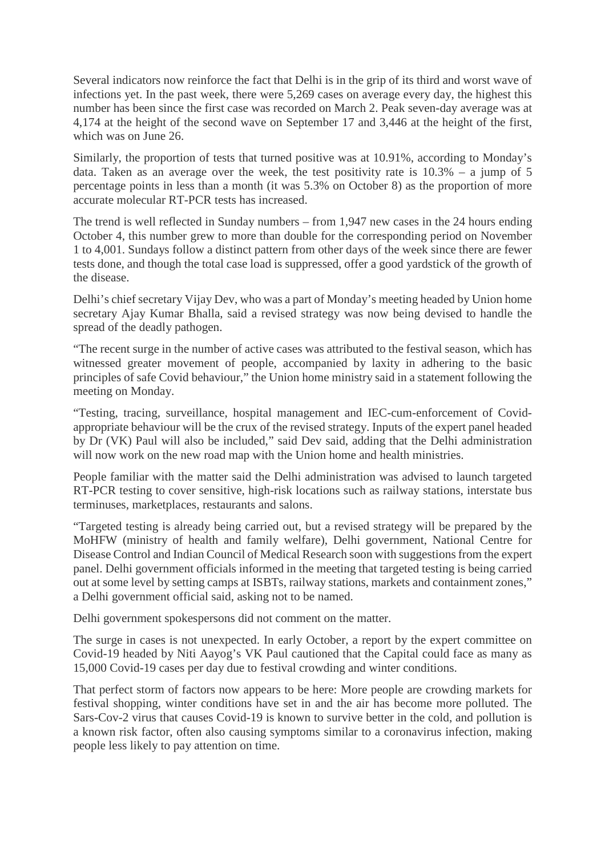Several indicators now reinforce the fact that Delhi is in the grip of its third and worst wave of infections yet. In the past week, there were 5,269 cases on average every day, the highest this number has been since the first case was recorded on March 2. Peak seven-day average was at 4,174 at the height of the second wave on September 17 and 3,446 at the height of the first, which was on June 26.

Similarly, the proportion of tests that turned positive was at 10.91%, according to Monday's data. Taken as an average over the week, the test positivity rate is  $10.3% - a$  jump of 5 percentage points in less than a month (it was 5.3% on October 8) as the proportion of more accurate molecular RT-PCR tests has increased.

The trend is well reflected in Sunday numbers – from 1,947 new cases in the 24 hours ending October 4, this number grew to more than double for the corresponding period on November 1 to 4,001. Sundays follow a distinct pattern from other days of the week since there are fewer tests done, and though the total case load is suppressed, offer a good yardstick of the growth of the disease.

Delhi's chief secretary Vijay Dev, who was a part of Monday's meeting headed by Union home secretary Ajay Kumar Bhalla, said a revised strategy was now being devised to handle the spread of the deadly pathogen.

"The recent surge in the number of active cases was attributed to the festival season, which has witnessed greater movement of people, accompanied by laxity in adhering to the basic principles of safe Covid behaviour," the Union home ministry said in a statement following the meeting on Monday.

"Testing, tracing, surveillance, hospital management and IEC-cum-enforcement of Covidappropriate behaviour will be the crux of the revised strategy. Inputs of the expert panel headed by Dr (VK) Paul will also be included," said Dev said, adding that the Delhi administration will now work on the new road map with the Union home and health ministries.

People familiar with the matter said the Delhi administration was advised to launch targeted RT-PCR testing to cover sensitive, high-risk locations such as railway stations, interstate bus terminuses, marketplaces, restaurants and salons.

"Targeted testing is already being carried out, but a revised strategy will be prepared by the MoHFW (ministry of health and family welfare), Delhi government, National Centre for Disease Control and Indian Council of Medical Research soon with suggestions from the expert panel. Delhi government officials informed in the meeting that targeted testing is being carried out at some level by setting camps at ISBTs, railway stations, markets and containment zones," a Delhi government official said, asking not to be named.

Delhi government spokespersons did not comment on the matter.

The surge in cases is not unexpected. In early October, a report by the expert committee on Covid-19 headed by Niti Aayog's VK Paul cautioned that the Capital could face as many as 15,000 Covid-19 cases per day due to festival crowding and winter conditions.

That perfect storm of factors now appears to be here: More people are crowding markets for festival shopping, winter conditions have set in and the air has become more polluted. The Sars-Cov-2 virus that causes Covid-19 is known to survive better in the cold, and pollution is a known risk factor, often also causing symptoms similar to a coronavirus infection, making people less likely to pay attention on time.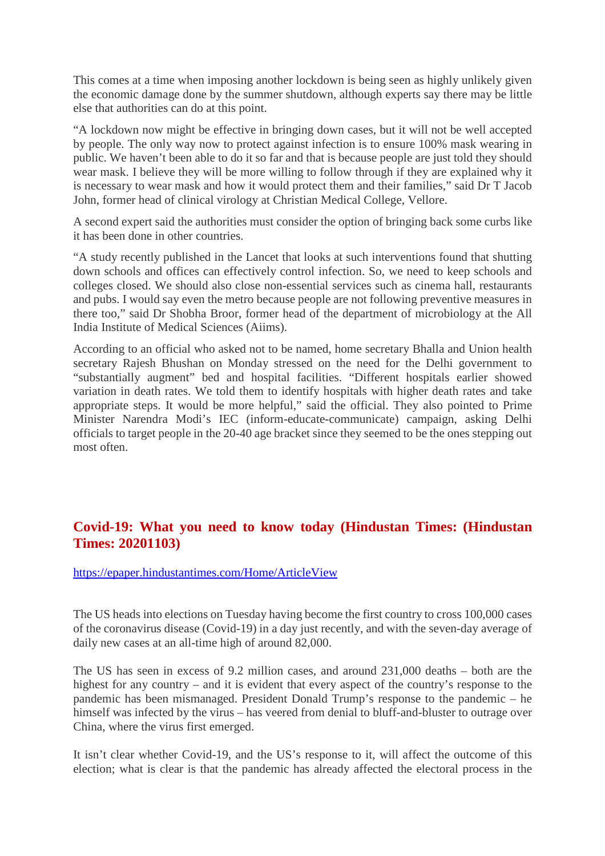This comes at a time when imposing another lockdown is being seen as highly unlikely given the economic damage done by the summer shutdown, although experts say there may be little else that authorities can do at this point.

"A lockdown now might be effective in bringing down cases, but it will not be well accepted by people. The only way now to protect against infection is to ensure 100% mask wearing in public. We haven't been able to do it so far and that is because people are just told they should wear mask. I believe they will be more willing to follow through if they are explained why it is necessary to wear mask and how it would protect them and their families," said Dr T Jacob John, former head of clinical virology at Christian Medical College, Vellore.

A second expert said the authorities must consider the option of bringing back some curbs like it has been done in other countries.

"A study recently published in the Lancet that looks at such interventions found that shutting down schools and offices can effectively control infection. So, we need to keep schools and colleges closed. We should also close non-essential services such as cinema hall, restaurants and pubs. I would say even the metro because people are not following preventive measures in there too," said Dr Shobha Broor, former head of the department of microbiology at the All India Institute of Medical Sciences (Aiims).

According to an official who asked not to be named, home secretary Bhalla and Union health secretary Rajesh Bhushan on Monday stressed on the need for the Delhi government to "substantially augment" bed and hospital facilities. "Different hospitals earlier showed variation in death rates. We told them to identify hospitals with higher death rates and take appropriate steps. It would be more helpful," said the official. They also pointed to Prime Minister Narendra Modi's IEC (inform-educate-communicate) campaign, asking Delhi officials to target people in the 20-40 age bracket since they seemed to be the ones stepping out most often.

## **Covid-19: What you need to know today (Hindustan Times: (Hindustan Times: 20201103)**

https://epaper.hindustantimes.com/Home/ArticleView

The US heads into elections on Tuesday having become the first country to cross 100,000 cases of the coronavirus disease (Covid-19) in a day just recently, and with the seven-day average of daily new cases at an all-time high of around 82,000.

The US has seen in excess of 9.2 million cases, and around 231,000 deaths – both are the highest for any country – and it is evident that every aspect of the country's response to the pandemic has been mismanaged. President Donald Trump's response to the pandemic – he himself was infected by the virus – has veered from denial to bluff-and-bluster to outrage over China, where the virus first emerged.

It isn't clear whether Covid-19, and the US's response to it, will affect the outcome of this election; what is clear is that the pandemic has already affected the electoral process in the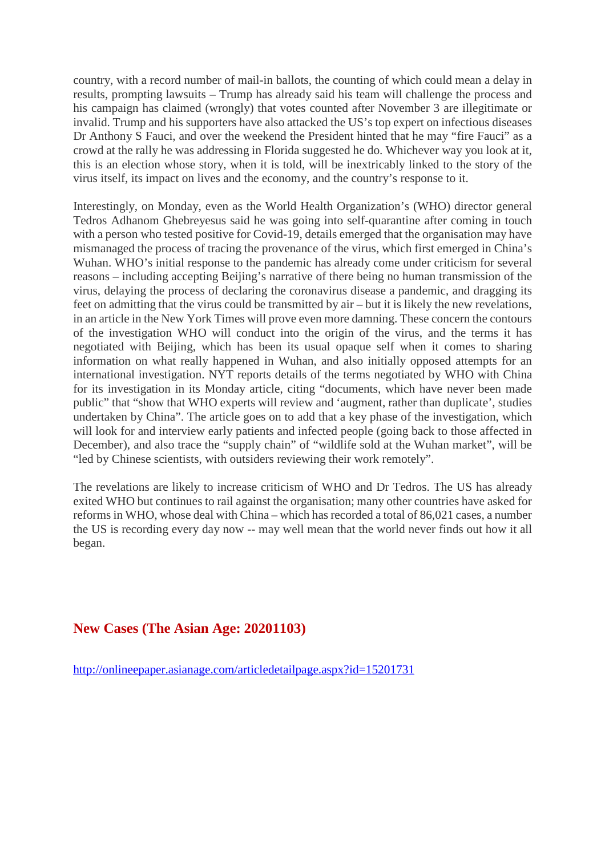country, with a record number of mail-in ballots, the counting of which could mean a delay in results, prompting lawsuits – Trump has already said his team will challenge the process and his campaign has claimed (wrongly) that votes counted after November 3 are illegitimate or invalid. Trump and his supporters have also attacked the US's top expert on infectious diseases Dr Anthony S Fauci, and over the weekend the President hinted that he may "fire Fauci" as a crowd at the rally he was addressing in Florida suggested he do. Whichever way you look at it, this is an election whose story, when it is told, will be inextricably linked to the story of the virus itself, its impact on lives and the economy, and the country's response to it.

Interestingly, on Monday, even as the World Health Organization's (WHO) director general Tedros Adhanom Ghebreyesus said he was going into self-quarantine after coming in touch with a person who tested positive for Covid-19, details emerged that the organisation may have mismanaged the process of tracing the provenance of the virus, which first emerged in China's Wuhan. WHO's initial response to the pandemic has already come under criticism for several reasons – including accepting Beijing's narrative of there being no human transmission of the virus, delaying the process of declaring the coronavirus disease a pandemic, and dragging its feet on admitting that the virus could be transmitted by air – but it is likely the new revelations, in an article in the New York Times will prove even more damning. These concern the contours of the investigation WHO will conduct into the origin of the virus, and the terms it has negotiated with Beijing, which has been its usual opaque self when it comes to sharing information on what really happened in Wuhan, and also initially opposed attempts for an international investigation. NYT reports details of the terms negotiated by WHO with China for its investigation in its Monday article, citing "documents, which have never been made public" that "show that WHO experts will review and 'augment, rather than duplicate', studies undertaken by China". The article goes on to add that a key phase of the investigation, which will look for and interview early patients and infected people (going back to those affected in December), and also trace the "supply chain" of "wildlife sold at the Wuhan market", will be "led by Chinese scientists, with outsiders reviewing their work remotely".

The revelations are likely to increase criticism of WHO and Dr Tedros. The US has already exited WHO but continues to rail against the organisation; many other countries have asked for reforms in WHO, whose deal with China – which has recorded a total of 86,021 cases, a number the US is recording every day now -- may well mean that the world never finds out how it all began.

## **New Cases (The Asian Age: 20201103)**

http://onlineepaper.asianage.com/articledetailpage.aspx?id=15201731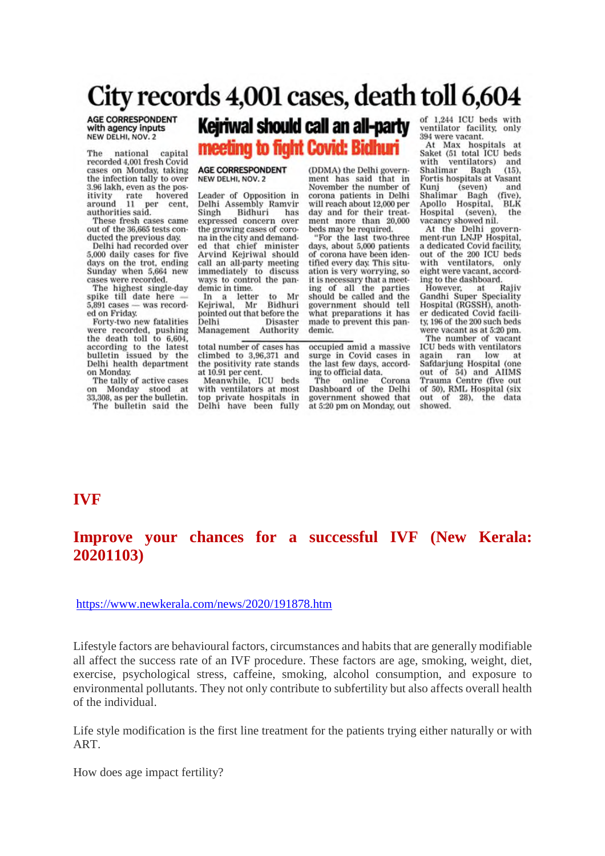## City records 4,001 cases, death toll 6,604

**AGE CORRESPONDENT** with agency inputs NEW DELHI, NOV. 2

national capital The recorded 4,001 fresh Covid cases on Monday, taking the infection tally to over 3.96 lakh, even as the positivity rate hovered<br>around 11 per cent, authorities said.

These fresh cases came out of the 36,665 tests conducted the previous day.

Delhi had recorded over 5,000 daily cases for five days on the trot, ending Sunday when 5,664 new cases were recorded.

The highest single-day spike till date here 5,891 cases - was recorded on Friday.

Forty-two new fatalities were recorded, pushing the death toll to 6,604, according to the latest bulletin issued by the Delhi health department on Monday.

The tally of active cases on Monday stood at 33,308, as per the bulletin. The bulletin said the

## Kejriwal should call an all-party meeting to fight Covid: Bidhuri

#### **AGE CORRESPONDENT** NEW DELHI, NOV. 2

Leader of Opposition in Delhi Assembly Ramvir Singh Bidhuri has expressed concern over the growing cases of corona in the city and demanded that chief minister<br>Arvind Kejriwal should call an all-party meeting<br>immediately to discuss ways to control the pandemic in time.

In a letter<br>Kejriwal, Mr to Mr Bidhuri pointed out that before the Delhi **Disaster** Management Authority

total number of cases has climbed to 3,96,371 and<br>the positivity rate stands at 10.91 per cent.

Meanwhile, ICU beds with ventilators at most top private hospitals in<br>Delhi have been fully

(DDMA) the Delhi government has said that in<br>November the number of corona patients in Delhi will reach about 12,000 per day and for their treat-<br>ment more than 20,000 beds may be required.

"For the last two-three days, about 5,000 patients of corona have been identified every day. This situation is very worrying, so it is necessary that a meeting of all the parties should be called and the government should tell what preparations it has made to prevent this pandemic.

occupied amid a massive surge in Covid cases in the last few days, according to official data.

The online Corona<br>Dashboard of the Delhi government showed that at 5:20 pm on Monday, out of 1,244 ICU beds with ventilator facility, only 394 were vacant.

At Max hospitals at Saket (51 total ICU beds with ventilators) and Shalimar Bagh  $(15),$ Fortis hospitals at Vasant (seven) Kunj and Kunj (seven)<br>Shalimar Bagh<br>Apollo Hospital,<br>Hospital (seven), (five), **BLK** the vacancy showed nil.

At the Delhi govern-<br>ment-run LNJP Hospital, a dedicated Covid facility, out of the 200 ICU beds with ventilators, only eight were vacant, according to the dashboard.

Rajiv However, at Gandhi Super Speciality<br>Hospital (RGSSH), another dedicated Covid facility, 196 of the 200 such beds were vacant as at 5:20 pm.

The number of vacant ICU beds with ventilators ran again  $low$ at Safdarjung Hospital (one out of 54) and AIIMS<br>Trauma Centre (five out of 50), RML Hospital (six out of 28), the data showed.

## **IVF**

## **Improve your chances for a successful IVF (New Kerala: 20201103)**

#### https://www.newkerala.com/news/2020/191878.htm

Lifestyle factors are behavioural factors, circumstances and habits that are generally modifiable all affect the success rate of an IVF procedure. These factors are age, smoking, weight, diet, exercise, psychological stress, caffeine, smoking, alcohol consumption, and exposure to environmental pollutants. They not only contribute to subfertility but also affects overall health of the individual.

Life style modification is the first line treatment for the patients trying either naturally or with ART.

How does age impact fertility?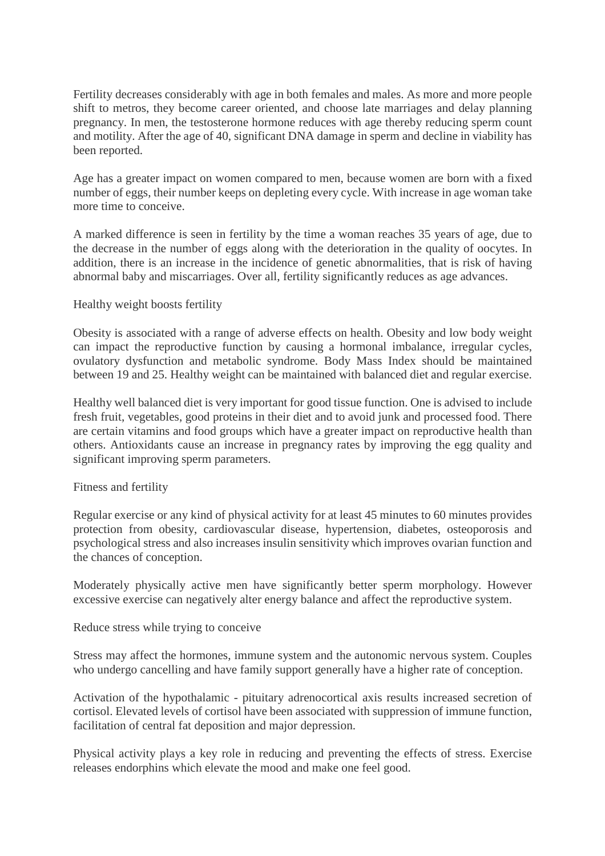Fertility decreases considerably with age in both females and males. As more and more people shift to metros, they become career oriented, and choose late marriages and delay planning pregnancy. In men, the testosterone hormone reduces with age thereby reducing sperm count and motility. After the age of 40, significant DNA damage in sperm and decline in viability has been reported.

Age has a greater impact on women compared to men, because women are born with a fixed number of eggs, their number keeps on depleting every cycle. With increase in age woman take more time to conceive.

A marked difference is seen in fertility by the time a woman reaches 35 years of age, due to the decrease in the number of eggs along with the deterioration in the quality of oocytes. In addition, there is an increase in the incidence of genetic abnormalities, that is risk of having abnormal baby and miscarriages. Over all, fertility significantly reduces as age advances.

#### Healthy weight boosts fertility

Obesity is associated with a range of adverse effects on health. Obesity and low body weight can impact the reproductive function by causing a hormonal imbalance, irregular cycles, ovulatory dysfunction and metabolic syndrome. Body Mass Index should be maintained between 19 and 25. Healthy weight can be maintained with balanced diet and regular exercise.

Healthy well balanced diet is very important for good tissue function. One is advised to include fresh fruit, vegetables, good proteins in their diet and to avoid junk and processed food. There are certain vitamins and food groups which have a greater impact on reproductive health than others. Antioxidants cause an increase in pregnancy rates by improving the egg quality and significant improving sperm parameters.

#### Fitness and fertility

Regular exercise or any kind of physical activity for at least 45 minutes to 60 minutes provides protection from obesity, cardiovascular disease, hypertension, diabetes, osteoporosis and psychological stress and also increases insulin sensitivity which improves ovarian function and the chances of conception.

Moderately physically active men have significantly better sperm morphology. However excessive exercise can negatively alter energy balance and affect the reproductive system.

#### Reduce stress while trying to conceive

Stress may affect the hormones, immune system and the autonomic nervous system. Couples who undergo cancelling and have family support generally have a higher rate of conception.

Activation of the hypothalamic - pituitary adrenocortical axis results increased secretion of cortisol. Elevated levels of cortisol have been associated with suppression of immune function, facilitation of central fat deposition and major depression.

Physical activity plays a key role in reducing and preventing the effects of stress. Exercise releases endorphins which elevate the mood and make one feel good.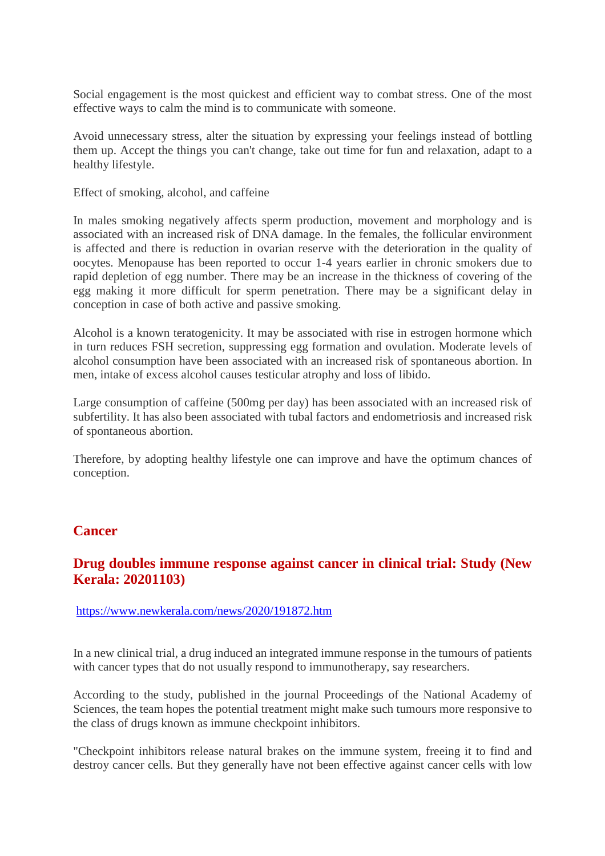Social engagement is the most quickest and efficient way to combat stress. One of the most effective ways to calm the mind is to communicate with someone.

Avoid unnecessary stress, alter the situation by expressing your feelings instead of bottling them up. Accept the things you can't change, take out time for fun and relaxation, adapt to a healthy lifestyle.

Effect of smoking, alcohol, and caffeine

In males smoking negatively affects sperm production, movement and morphology and is associated with an increased risk of DNA damage. In the females, the follicular environment is affected and there is reduction in ovarian reserve with the deterioration in the quality of oocytes. Menopause has been reported to occur 1-4 years earlier in chronic smokers due to rapid depletion of egg number. There may be an increase in the thickness of covering of the egg making it more difficult for sperm penetration. There may be a significant delay in conception in case of both active and passive smoking.

Alcohol is a known teratogenicity. It may be associated with rise in estrogen hormone which in turn reduces FSH secretion, suppressing egg formation and ovulation. Moderate levels of alcohol consumption have been associated with an increased risk of spontaneous abortion. In men, intake of excess alcohol causes testicular atrophy and loss of libido.

Large consumption of caffeine (500mg per day) has been associated with an increased risk of subfertility. It has also been associated with tubal factors and endometriosis and increased risk of spontaneous abortion.

Therefore, by adopting healthy lifestyle one can improve and have the optimum chances of conception.

## **Cancer**

## **Drug doubles immune response against cancer in clinical trial: Study (New Kerala: 20201103)**

#### https://www.newkerala.com/news/2020/191872.htm

In a new clinical trial, a drug induced an integrated immune response in the tumours of patients with cancer types that do not usually respond to immunotherapy, say researchers.

According to the study, published in the journal Proceedings of the National Academy of Sciences, the team hopes the potential treatment might make such tumours more responsive to the class of drugs known as immune checkpoint inhibitors.

"Checkpoint inhibitors release natural brakes on the immune system, freeing it to find and destroy cancer cells. But they generally have not been effective against cancer cells with low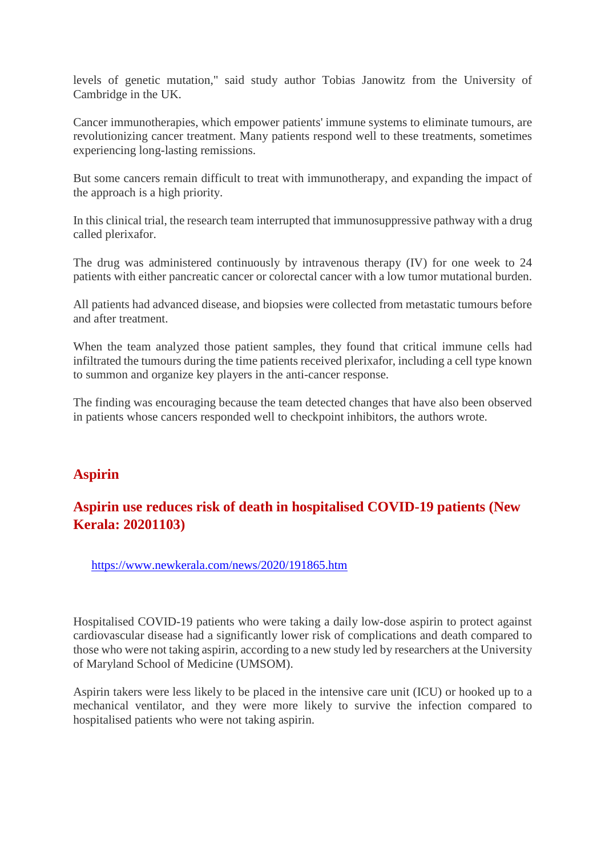levels of genetic mutation," said study author Tobias Janowitz from the University of Cambridge in the UK.

Cancer immunotherapies, which empower patients' immune systems to eliminate tumours, are revolutionizing cancer treatment. Many patients respond well to these treatments, sometimes experiencing long-lasting remissions.

But some cancers remain difficult to treat with immunotherapy, and expanding the impact of the approach is a high priority.

In this clinical trial, the research team interrupted that immunosuppressive pathway with a drug called plerixafor.

The drug was administered continuously by intravenous therapy (IV) for one week to 24 patients with either pancreatic cancer or colorectal cancer with a low tumor mutational burden.

All patients had advanced disease, and biopsies were collected from metastatic tumours before and after treatment.

When the team analyzed those patient samples, they found that critical immune cells had infiltrated the tumours during the time patients received plerixafor, including a cell type known to summon and organize key players in the anti-cancer response.

The finding was encouraging because the team detected changes that have also been observed in patients whose cancers responded well to checkpoint inhibitors, the authors wrote.

## **Aspirin**

## **Aspirin use reduces risk of death in hospitalised COVID-19 patients (New Kerala: 20201103)**

https://www.newkerala.com/news/2020/191865.htm

Hospitalised COVID-19 patients who were taking a daily low-dose aspirin to protect against cardiovascular disease had a significantly lower risk of complications and death compared to those who were not taking aspirin, according to a new study led by researchers at the University of Maryland School of Medicine (UMSOM).

Aspirin takers were less likely to be placed in the intensive care unit (ICU) or hooked up to a mechanical ventilator, and they were more likely to survive the infection compared to hospitalised patients who were not taking aspirin.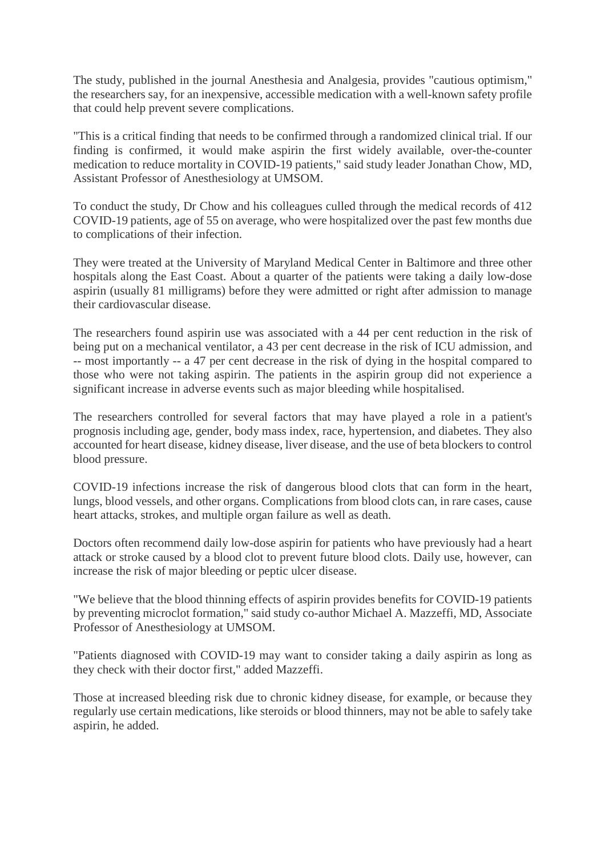The study, published in the journal Anesthesia and Analgesia, provides "cautious optimism," the researchers say, for an inexpensive, accessible medication with a well-known safety profile that could help prevent severe complications.

"This is a critical finding that needs to be confirmed through a randomized clinical trial. If our finding is confirmed, it would make aspirin the first widely available, over-the-counter medication to reduce mortality in COVID-19 patients," said study leader Jonathan Chow, MD, Assistant Professor of Anesthesiology at UMSOM.

To conduct the study, Dr Chow and his colleagues culled through the medical records of 412 COVID-19 patients, age of 55 on average, who were hospitalized over the past few months due to complications of their infection.

They were treated at the University of Maryland Medical Center in Baltimore and three other hospitals along the East Coast. About a quarter of the patients were taking a daily low-dose aspirin (usually 81 milligrams) before they were admitted or right after admission to manage their cardiovascular disease.

The researchers found aspirin use was associated with a 44 per cent reduction in the risk of being put on a mechanical ventilator, a 43 per cent decrease in the risk of ICU admission, and -- most importantly -- a 47 per cent decrease in the risk of dying in the hospital compared to those who were not taking aspirin. The patients in the aspirin group did not experience a significant increase in adverse events such as major bleeding while hospitalised.

The researchers controlled for several factors that may have played a role in a patient's prognosis including age, gender, body mass index, race, hypertension, and diabetes. They also accounted for heart disease, kidney disease, liver disease, and the use of beta blockers to control blood pressure.

COVID-19 infections increase the risk of dangerous blood clots that can form in the heart, lungs, blood vessels, and other organs. Complications from blood clots can, in rare cases, cause heart attacks, strokes, and multiple organ failure as well as death.

Doctors often recommend daily low-dose aspirin for patients who have previously had a heart attack or stroke caused by a blood clot to prevent future blood clots. Daily use, however, can increase the risk of major bleeding or peptic ulcer disease.

"We believe that the blood thinning effects of aspirin provides benefits for COVID-19 patients by preventing microclot formation," said study co-author Michael A. Mazzeffi, MD, Associate Professor of Anesthesiology at UMSOM.

"Patients diagnosed with COVID-19 may want to consider taking a daily aspirin as long as they check with their doctor first," added Mazzeffi.

Those at increased bleeding risk due to chronic kidney disease, for example, or because they regularly use certain medications, like steroids or blood thinners, may not be able to safely take aspirin, he added.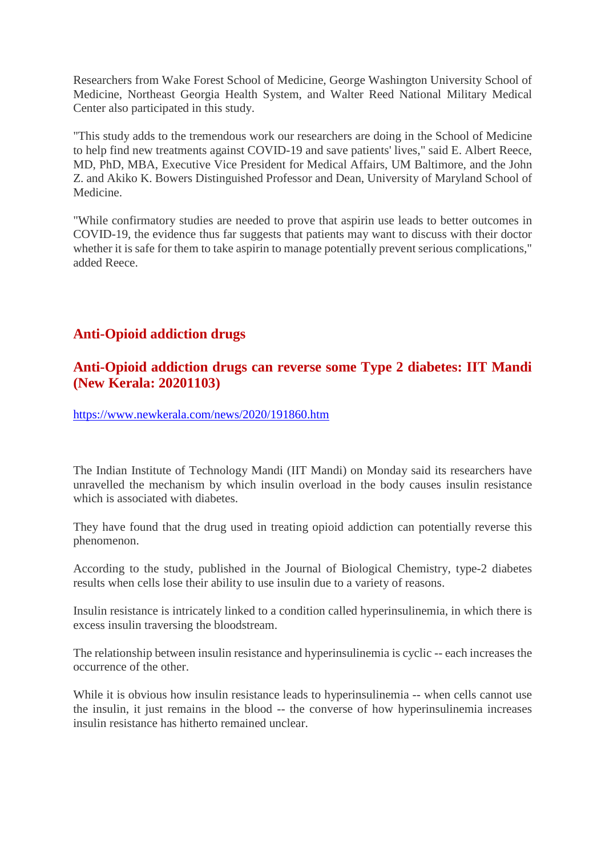Researchers from Wake Forest School of Medicine, George Washington University School of Medicine, Northeast Georgia Health System, and Walter Reed National Military Medical Center also participated in this study.

"This study adds to the tremendous work our researchers are doing in the School of Medicine to help find new treatments against COVID-19 and save patients' lives," said E. Albert Reece, MD, PhD, MBA, Executive Vice President for Medical Affairs, UM Baltimore, and the John Z. and Akiko K. Bowers Distinguished Professor and Dean, University of Maryland School of Medicine.

"While confirmatory studies are needed to prove that aspirin use leads to better outcomes in COVID-19, the evidence thus far suggests that patients may want to discuss with their doctor whether it is safe for them to take aspirin to manage potentially prevent serious complications," added Reece.

## **Anti-Opioid addiction drugs**

## **Anti-Opioid addiction drugs can reverse some Type 2 diabetes: IIT Mandi (New Kerala: 20201103)**

https://www.newkerala.com/news/2020/191860.htm

The Indian Institute of Technology Mandi (IIT Mandi) on Monday said its researchers have unravelled the mechanism by which insulin overload in the body causes insulin resistance which is associated with diabetes.

They have found that the drug used in treating opioid addiction can potentially reverse this phenomenon.

According to the study, published in the Journal of Biological Chemistry, type-2 diabetes results when cells lose their ability to use insulin due to a variety of reasons.

Insulin resistance is intricately linked to a condition called hyperinsulinemia, in which there is excess insulin traversing the bloodstream.

The relationship between insulin resistance and hyperinsulinemia is cyclic -- each increases the occurrence of the other.

While it is obvious how insulin resistance leads to hyperinsulinemia -- when cells cannot use the insulin, it just remains in the blood -- the converse of how hyperinsulinemia increases insulin resistance has hitherto remained unclear.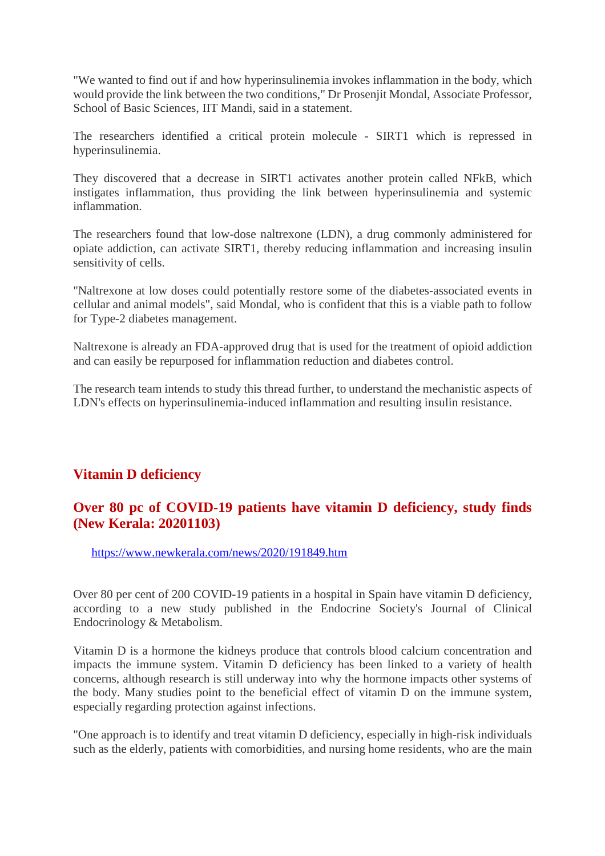"We wanted to find out if and how hyperinsulinemia invokes inflammation in the body, which would provide the link between the two conditions," Dr Prosenjit Mondal, Associate Professor, School of Basic Sciences, IIT Mandi, said in a statement.

The researchers identified a critical protein molecule - SIRT1 which is repressed in hyperinsulinemia.

They discovered that a decrease in SIRT1 activates another protein called NFkB, which instigates inflammation, thus providing the link between hyperinsulinemia and systemic inflammation.

The researchers found that low-dose naltrexone (LDN), a drug commonly administered for opiate addiction, can activate SIRT1, thereby reducing inflammation and increasing insulin sensitivity of cells.

"Naltrexone at low doses could potentially restore some of the diabetes-associated events in cellular and animal models", said Mondal, who is confident that this is a viable path to follow for Type-2 diabetes management.

Naltrexone is already an FDA-approved drug that is used for the treatment of opioid addiction and can easily be repurposed for inflammation reduction and diabetes control.

The research team intends to study this thread further, to understand the mechanistic aspects of LDN's effects on hyperinsulinemia-induced inflammation and resulting insulin resistance.

## **Vitamin D deficiency**

## **Over 80 pc of COVID-19 patients have vitamin D deficiency, study finds (New Kerala: 20201103)**

https://www.newkerala.com/news/2020/191849.htm

Over 80 per cent of 200 COVID-19 patients in a hospital in Spain have vitamin D deficiency, according to a new study published in the Endocrine Society's Journal of Clinical Endocrinology & Metabolism.

Vitamin D is a hormone the kidneys produce that controls blood calcium concentration and impacts the immune system. Vitamin D deficiency has been linked to a variety of health concerns, although research is still underway into why the hormone impacts other systems of the body. Many studies point to the beneficial effect of vitamin D on the immune system, especially regarding protection against infections.

"One approach is to identify and treat vitamin D deficiency, especially in high-risk individuals such as the elderly, patients with comorbidities, and nursing home residents, who are the main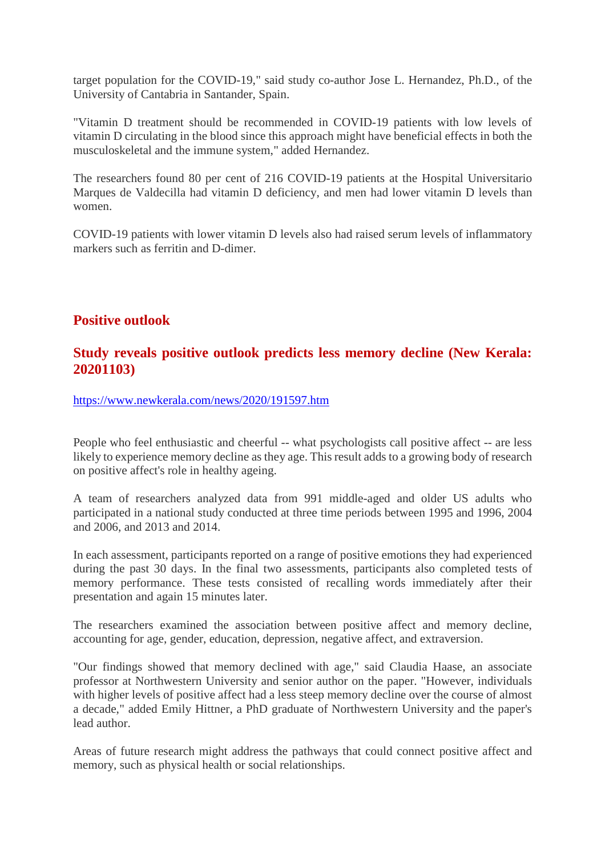target population for the COVID-19," said study co-author Jose L. Hernandez, Ph.D., of the University of Cantabria in Santander, Spain.

"Vitamin D treatment should be recommended in COVID-19 patients with low levels of vitamin D circulating in the blood since this approach might have beneficial effects in both the musculoskeletal and the immune system," added Hernandez.

The researchers found 80 per cent of 216 COVID-19 patients at the Hospital Universitario Marques de Valdecilla had vitamin D deficiency, and men had lower vitamin D levels than women.

COVID-19 patients with lower vitamin D levels also had raised serum levels of inflammatory markers such as ferritin and D-dimer.

## **Positive outlook**

## **Study reveals positive outlook predicts less memory decline (New Kerala: 20201103)**

https://www.newkerala.com/news/2020/191597.htm

People who feel enthusiastic and cheerful -- what psychologists call positive affect -- are less likely to experience memory decline as they age. This result adds to a growing body of research on positive affect's role in healthy ageing.

A team of researchers analyzed data from 991 middle-aged and older US adults who participated in a national study conducted at three time periods between 1995 and 1996, 2004 and 2006, and 2013 and 2014.

In each assessment, participants reported on a range of positive emotions they had experienced during the past 30 days. In the final two assessments, participants also completed tests of memory performance. These tests consisted of recalling words immediately after their presentation and again 15 minutes later.

The researchers examined the association between positive affect and memory decline, accounting for age, gender, education, depression, negative affect, and extraversion.

"Our findings showed that memory declined with age," said Claudia Haase, an associate professor at Northwestern University and senior author on the paper. "However, individuals with higher levels of positive affect had a less steep memory decline over the course of almost a decade," added Emily Hittner, a PhD graduate of Northwestern University and the paper's lead author.

Areas of future research might address the pathways that could connect positive affect and memory, such as physical health or social relationships.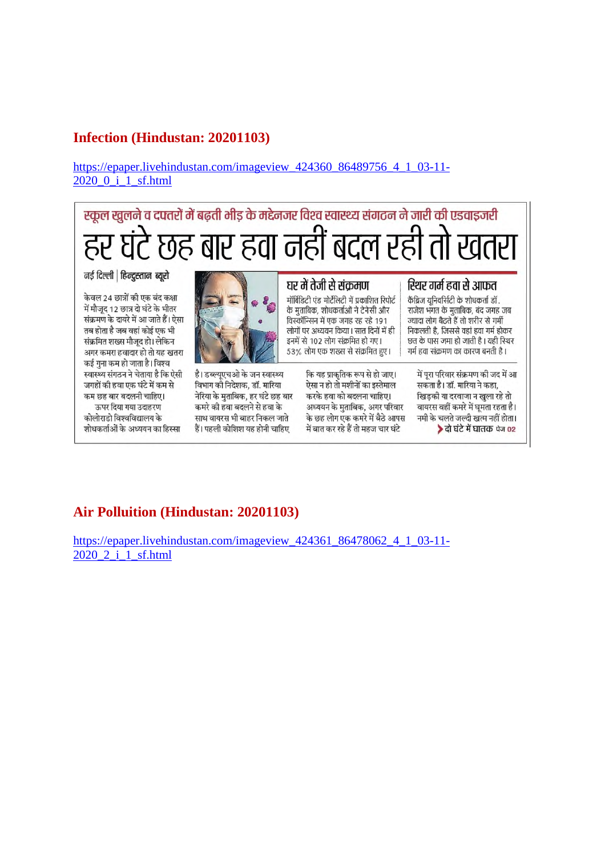## **Infection (Hindustan: 20201103)**

https://epaper.livehindustan.com/imageview\_424360\_86489756\_4\_1\_03-11- 2020\_0\_i\_1\_sf.html



## **Air Polluition (Hindustan: 20201103)**

https://epaper.livehindustan.com/imageview\_424361\_86478062\_4\_1\_03-11-2020\_2\_i\_1\_sf.html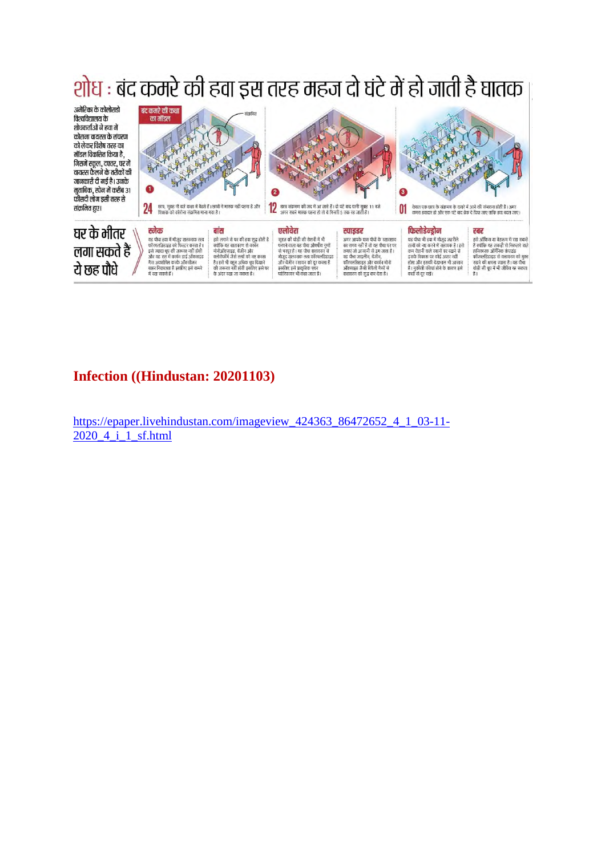## शोध : बंद कमरे की हवा इस तरह महज दो घंटे में हो जाती है घातक

अमेरिका के कोलोराडो विश्वविद्यालय के शोधकर्ताओं ने हवा में कोराना वायरस के संचरण को लेकर विशेष तरह का मॉडल विकसित किया है, निसमें स्कूल, दफ्तर, घर में वायरस फैलने के तरीकों की जानकारी दी गई है। उनके मुताबिक, स्पेन में करीब 31 फीसदी लोग इसी तरह से संक्रमित हुए।



## **Infection ((Hindustan: 20201103)**

https://epaper.livehindustan.com/imageview\_424363\_86472652\_4\_1\_03-11- 2020\_4\_i\_1\_sf.html